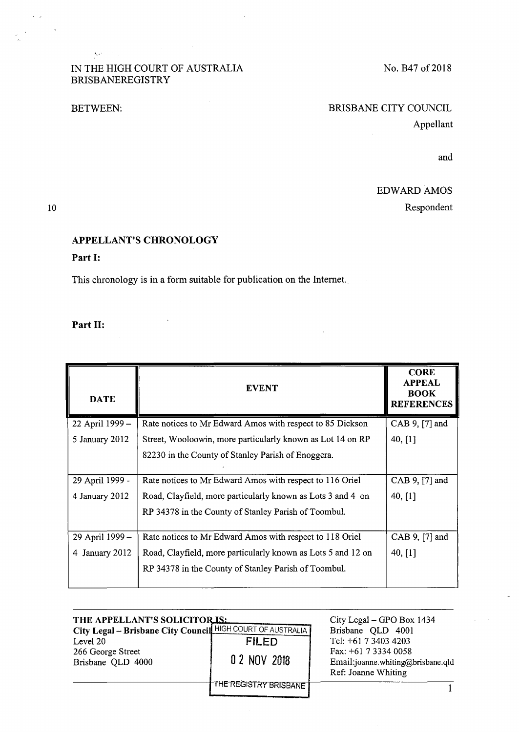#### IN THE HIGH COURT OF AUSTRALIA BRISBANEREGISTRY

 $\mathcal{L}_{\mathrm{max}}$  and  $\mathcal{L}_{\mathrm{max}}$ 

 $\hat{\mathbf{x}}_i\hat{\mathbf{z}}_i$  ,  $\hat{\mathbf{z}}_i$ 

# BETWEEN: BRISBANE CITY COUNCIL Appellant

 $\bar{z}$ 

and

## EDWARD AMOS

Respondent

#### 10

 $\sim$   $\sim$ 

### APPELLANT'S CHRONOLOGY

#### Part I:

This chronology is in a form suitable for publication on the Internet.

#### Part II:

| <b>DATE</b>       | <b>EVENT</b>                                                 | <b>CORE</b><br><b>APPEAL</b><br><b>BOOK</b><br><b>REFERENCES</b> |
|-------------------|--------------------------------------------------------------|------------------------------------------------------------------|
| 22 April 1999 -   | Rate notices to Mr Edward Amos with respect to 85 Dickson    | CAB 9, [7] and                                                   |
| 5 January 2012    | Street, Wooloowin, more particularly known as Lot 14 on RP   | 40, $[1]$                                                        |
|                   | 82230 in the County of Stanley Parish of Enoggera.           |                                                                  |
| 29 April 1999 -   | Rate notices to Mr Edward Amos with respect to 116 Oriel     | CAB 9, $[7]$ and                                                 |
| 4 January 2012    | Road, Clayfield, more particularly known as Lots 3 and 4 on  | 40, $[1]$                                                        |
|                   | RP 34378 in the County of Stanley Parish of Toombul.         |                                                                  |
| 29 April 1999 -   | Rate notices to Mr Edward Amos with respect to 118 Oriel     | CAB 9, [7] and                                                   |
| January 2012<br>4 | Road, Clayfield, more particularly known as Lots 5 and 12 on | 40, [1]                                                          |
|                   | RP 34378 in the County of Stanley Parish of Toombul.         |                                                                  |

| THE APPELLANT'S SOLICITOR IS:<br>City Legal - Brisbane City Council HIGH COURT OF AUSTRALIA |                         | City Legal – GPO Box 1434<br>Brisbane QLD 4001                                     |  |
|---------------------------------------------------------------------------------------------|-------------------------|------------------------------------------------------------------------------------|--|
| Level 20                                                                                    | <b>FILED</b>            | Tel: +61 7 3403 4203                                                               |  |
| 266 George Street<br>Brisbane QLD 4000                                                      | 0 2 NOV 2018            | Fax: $+61$ 7 3334 0058<br>Email:joanne.whiting@brisbane.qld<br>Ref: Joanne Whiting |  |
|                                                                                             | THE REGISTRY BRISBANE " |                                                                                    |  |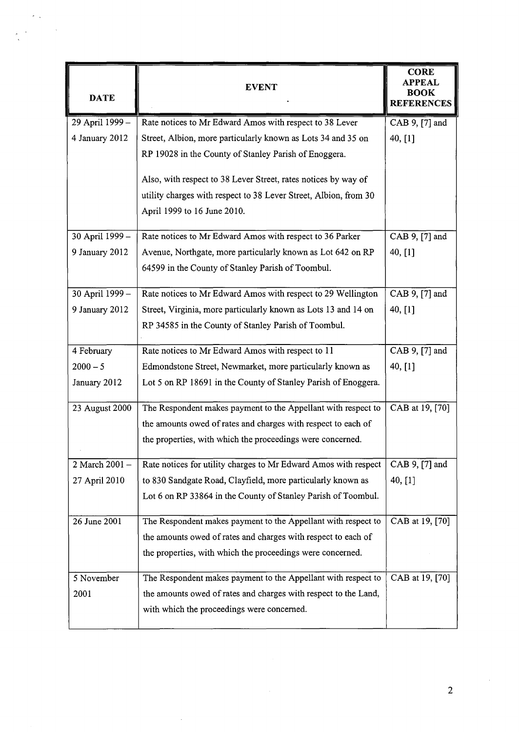| <b>DATE</b>     | <b>EVENT</b>                                                                                                          | <b>CORE</b><br><b>APPEAL</b><br><b>BOOK</b><br><b>REFERENCES</b> |
|-----------------|-----------------------------------------------------------------------------------------------------------------------|------------------------------------------------------------------|
| 29 April 1999 - | Rate notices to Mr Edward Amos with respect to 38 Lever                                                               | CAB 9, [7] and                                                   |
| 4 January 2012  | Street, Albion, more particularly known as Lots 34 and 35 on<br>RP 19028 in the County of Stanley Parish of Enoggera. | 40, [1]                                                          |
|                 | Also, with respect to 38 Lever Street, rates notices by way of                                                        |                                                                  |
|                 | utility charges with respect to 38 Lever Street, Albion, from 30<br>April 1999 to 16 June 2010.                       |                                                                  |
| 30 April 1999 - | Rate notices to Mr Edward Amos with respect to 36 Parker                                                              | CAB 9, [7] and                                                   |
| 9 January 2012  | Avenue, Northgate, more particularly known as Lot 642 on RP                                                           | 40, [1]                                                          |
|                 | 64599 in the County of Stanley Parish of Toombul.                                                                     |                                                                  |
| 30 April 1999 - | Rate notices to Mr Edward Amos with respect to 29 Wellington                                                          | CAB 9, [7] and                                                   |
| 9 January 2012  | Street, Virginia, more particularly known as Lots 13 and 14 on                                                        | 40, [1]                                                          |
|                 | RP 34585 in the County of Stanley Parish of Toombul.                                                                  |                                                                  |
| 4 February      | Rate notices to Mr Edward Amos with respect to 11                                                                     | CAB 9, [7] and                                                   |
| $2000 - 5$      | Edmondstone Street, Newmarket, more particularly known as                                                             | 40, [1]                                                          |
| January 2012    | Lot 5 on RP 18691 in the County of Stanley Parish of Enoggera.                                                        |                                                                  |
| 23 August 2000  | The Respondent makes payment to the Appellant with respect to                                                         | CAB at 19, [70]                                                  |
|                 | the amounts owed of rates and charges with respect to each of                                                         |                                                                  |
|                 | the properties, with which the proceedings were concerned.                                                            |                                                                  |
| 2 March 2001 -  | Rate notices for utility charges to Mr Edward Amos with respect                                                       | CAB 9, [7] and                                                   |
| 27 April 2010   | to 830 Sandgate Road, Clayfield, more particularly known as                                                           | 40, [1]                                                          |
|                 | Lot 6 on RP 33864 in the County of Stanley Parish of Toombul.                                                         |                                                                  |
| 26 June 2001    | The Respondent makes payment to the Appellant with respect to                                                         | CAB at 19, [70]                                                  |
|                 | the amounts owed of rates and charges with respect to each of                                                         |                                                                  |
|                 | the properties, with which the proceedings were concerned.                                                            |                                                                  |
| 5 November      | The Respondent makes payment to the Appellant with respect to                                                         | CAB at 19, [70]                                                  |
| 2001            | the amounts owed of rates and charges with respect to the Land,                                                       |                                                                  |
|                 | with which the proceedings were concerned.                                                                            |                                                                  |

 $\ddot{\phantom{0}}$ 

 $\hat{\sigma}^{(0)}$  .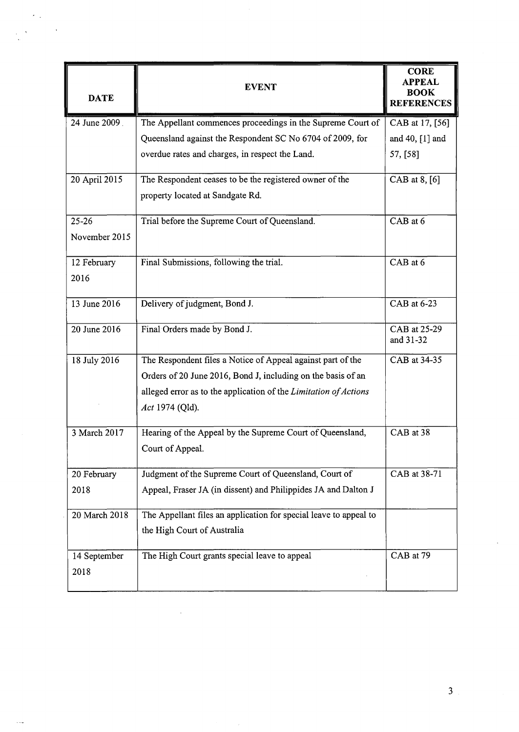| <b>DATE</b>   | <b>EVENT</b>                                                      | <b>CORE</b><br><b>APPEAL</b><br><b>BOOK</b><br><b>REFERENCES</b> |
|---------------|-------------------------------------------------------------------|------------------------------------------------------------------|
| 24 June 2009  | The Appellant commences proceedings in the Supreme Court of       | CAB at 17, [56]                                                  |
|               | Queensland against the Respondent SC No 6704 of 2009, for         | and 40, [1] and                                                  |
|               | overdue rates and charges, in respect the Land.                   | 57, [58]                                                         |
| 20 April 2015 | The Respondent ceases to be the registered owner of the           | CAB at 8, [6]                                                    |
|               | property located at Sandgate Rd.                                  |                                                                  |
| $25 - 26$     | Trial before the Supreme Court of Queensland.                     | CAB at 6                                                         |
| November 2015 |                                                                   |                                                                  |
| 12 February   | Final Submissions, following the trial.                           | CAB at 6                                                         |
| 2016          |                                                                   |                                                                  |
| 13 June 2016  | Delivery of judgment, Bond J.                                     | CAB at 6-23                                                      |
| 20 June 2016  | Final Orders made by Bond J.                                      | CAB at 25-29<br>and 31-32                                        |
| 18 July 2016  | The Respondent files a Notice of Appeal against part of the       | CAB at 34-35                                                     |
|               | Orders of 20 June 2016, Bond J, including on the basis of an      |                                                                  |
|               | alleged error as to the application of the Limitation of Actions  |                                                                  |
|               | Act 1974 (Qld).                                                   |                                                                  |
| 3 March 2017  | Hearing of the Appeal by the Supreme Court of Queensland,         | CAB at 38                                                        |
|               | Court of Appeal.                                                  |                                                                  |
| 20 February   | Judgment of the Supreme Court of Queensland, Court of             | CAB at 38-71                                                     |
| 2018          | Appeal, Fraser JA (in dissent) and Philippides JA and Dalton J    |                                                                  |
| 20 March 2018 | The Appellant files an application for special leave to appeal to |                                                                  |
|               | the High Court of Australia                                       |                                                                  |
| 14 September  | The High Court grants special leave to appeal                     | CAB at 79                                                        |
| 2018          |                                                                   |                                                                  |

 $\overline{a}$